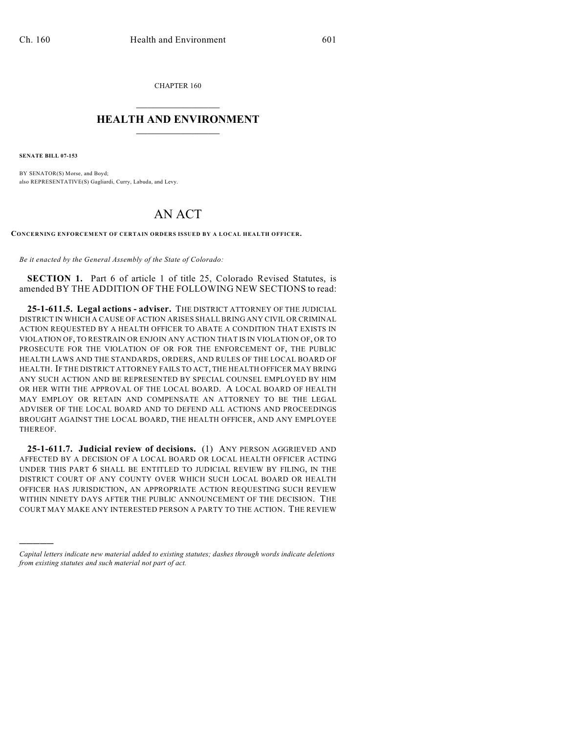CHAPTER 160  $\mathcal{L}_\text{max}$  . The set of the set of the set of the set of the set of the set of the set of the set of the set of the set of the set of the set of the set of the set of the set of the set of the set of the set of the set

## **HEALTH AND ENVIRONMENT**  $\_$

**SENATE BILL 07-153**

)))))

BY SENATOR(S) Morse, and Boyd; also REPRESENTATIVE(S) Gagliardi, Curry, Labuda, and Levy.

## AN ACT

**CONCERNING ENFORCEMENT OF CERTAIN ORDERS ISSUED BY A LOCAL HEALTH OFFICER.**

*Be it enacted by the General Assembly of the State of Colorado:*

**SECTION 1.** Part 6 of article 1 of title 25, Colorado Revised Statutes, is amended BY THE ADDITION OF THE FOLLOWING NEW SECTIONS to read:

**25-1-611.5. Legal actions - adviser.** THE DISTRICT ATTORNEY OF THE JUDICIAL DISTRICT IN WHICH A CAUSE OF ACTION ARISES SHALL BRING ANY CIVIL OR CRIMINAL ACTION REQUESTED BY A HEALTH OFFICER TO ABATE A CONDITION THAT EXISTS IN VIOLATION OF, TO RESTRAIN OR ENJOIN ANY ACTION THAT IS IN VIOLATION OF, OR TO PROSECUTE FOR THE VIOLATION OF OR FOR THE ENFORCEMENT OF, THE PUBLIC HEALTH LAWS AND THE STANDARDS, ORDERS, AND RULES OF THE LOCAL BOARD OF HEALTH. IF THE DISTRICT ATTORNEY FAILS TO ACT, THE HEALTH OFFICER MAY BRING ANY SUCH ACTION AND BE REPRESENTED BY SPECIAL COUNSEL EMPLOYED BY HIM OR HER WITH THE APPROVAL OF THE LOCAL BOARD. A LOCAL BOARD OF HEALTH MAY EMPLOY OR RETAIN AND COMPENSATE AN ATTORNEY TO BE THE LEGAL ADVISER OF THE LOCAL BOARD AND TO DEFEND ALL ACTIONS AND PROCEEDINGS BROUGHT AGAINST THE LOCAL BOARD, THE HEALTH OFFICER, AND ANY EMPLOYEE THEREOF.

**25-1-611.7. Judicial review of decisions.** (1) ANY PERSON AGGRIEVED AND AFFECTED BY A DECISION OF A LOCAL BOARD OR LOCAL HEALTH OFFICER ACTING UNDER THIS PART 6 SHALL BE ENTITLED TO JUDICIAL REVIEW BY FILING, IN THE DISTRICT COURT OF ANY COUNTY OVER WHICH SUCH LOCAL BOARD OR HEALTH OFFICER HAS JURISDICTION, AN APPROPRIATE ACTION REQUESTING SUCH REVIEW WITHIN NINETY DAYS AFTER THE PUBLIC ANNOUNCEMENT OF THE DECISION. THE COURT MAY MAKE ANY INTERESTED PERSON A PARTY TO THE ACTION. THE REVIEW

*Capital letters indicate new material added to existing statutes; dashes through words indicate deletions from existing statutes and such material not part of act.*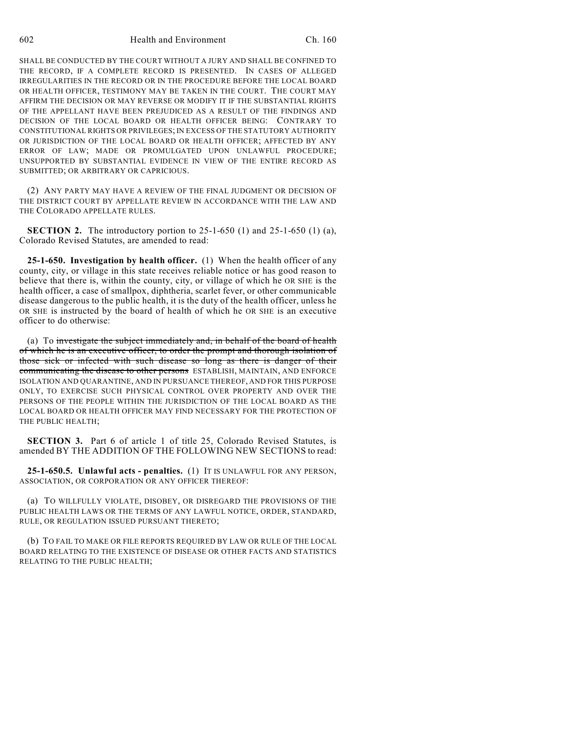SHALL BE CONDUCTED BY THE COURT WITHOUT A JURY AND SHALL BE CONFINED TO THE RECORD, IF A COMPLETE RECORD IS PRESENTED. IN CASES OF ALLEGED IRREGULARITIES IN THE RECORD OR IN THE PROCEDURE BEFORE THE LOCAL BOARD OR HEALTH OFFICER, TESTIMONY MAY BE TAKEN IN THE COURT. THE COURT MAY AFFIRM THE DECISION OR MAY REVERSE OR MODIFY IT IF THE SUBSTANTIAL RIGHTS OF THE APPELLANT HAVE BEEN PREJUDICED AS A RESULT OF THE FINDINGS AND DECISION OF THE LOCAL BOARD OR HEALTH OFFICER BEING: CONTRARY TO CONSTITUTIONAL RIGHTS OR PRIVILEGES; IN EXCESS OF THE STATUTORY AUTHORITY OR JURISDICTION OF THE LOCAL BOARD OR HEALTH OFFICER; AFFECTED BY ANY ERROR OF LAW; MADE OR PROMULGATED UPON UNLAWFUL PROCEDURE; UNSUPPORTED BY SUBSTANTIAL EVIDENCE IN VIEW OF THE ENTIRE RECORD AS SUBMITTED; OR ARBITRARY OR CAPRICIOUS.

(2) ANY PARTY MAY HAVE A REVIEW OF THE FINAL JUDGMENT OR DECISION OF THE DISTRICT COURT BY APPELLATE REVIEW IN ACCORDANCE WITH THE LAW AND THE COLORADO APPELLATE RULES.

**SECTION 2.** The introductory portion to 25-1-650 (1) and 25-1-650 (1) (a), Colorado Revised Statutes, are amended to read:

**25-1-650. Investigation by health officer.** (1) When the health officer of any county, city, or village in this state receives reliable notice or has good reason to believe that there is, within the county, city, or village of which he OR SHE is the health officer, a case of smallpox, diphtheria, scarlet fever, or other communicable disease dangerous to the public health, it is the duty of the health officer, unless he OR SHE is instructed by the board of health of which he OR SHE is an executive officer to do otherwise:

(a) To investigate the subject immediately and, in behalf of the board of health of which he is an executive officer, to order the prompt and thorough isolation of those sick or infected with such disease so long as there is danger of their communicating the disease to other persons ESTABLISH, MAINTAIN, AND ENFORCE ISOLATION AND QUARANTINE, AND IN PURSUANCE THEREOF, AND FOR THIS PURPOSE ONLY, TO EXERCISE SUCH PHYSICAL CONTROL OVER PROPERTY AND OVER THE PERSONS OF THE PEOPLE WITHIN THE JURISDICTION OF THE LOCAL BOARD AS THE LOCAL BOARD OR HEALTH OFFICER MAY FIND NECESSARY FOR THE PROTECTION OF THE PUBLIC HEALTH;

**SECTION 3.** Part 6 of article 1 of title 25, Colorado Revised Statutes, is amended BY THE ADDITION OF THE FOLLOWING NEW SECTIONS to read:

**25-1-650.5. Unlawful acts - penalties.** (1) IT IS UNLAWFUL FOR ANY PERSON, ASSOCIATION, OR CORPORATION OR ANY OFFICER THEREOF:

(a) TO WILLFULLY VIOLATE, DISOBEY, OR DISREGARD THE PROVISIONS OF THE PUBLIC HEALTH LAWS OR THE TERMS OF ANY LAWFUL NOTICE, ORDER, STANDARD, RULE, OR REGULATION ISSUED PURSUANT THERETO;

(b) TO FAIL TO MAKE OR FILE REPORTS REQUIRED BY LAW OR RULE OF THE LOCAL BOARD RELATING TO THE EXISTENCE OF DISEASE OR OTHER FACTS AND STATISTICS RELATING TO THE PUBLIC HEALTH;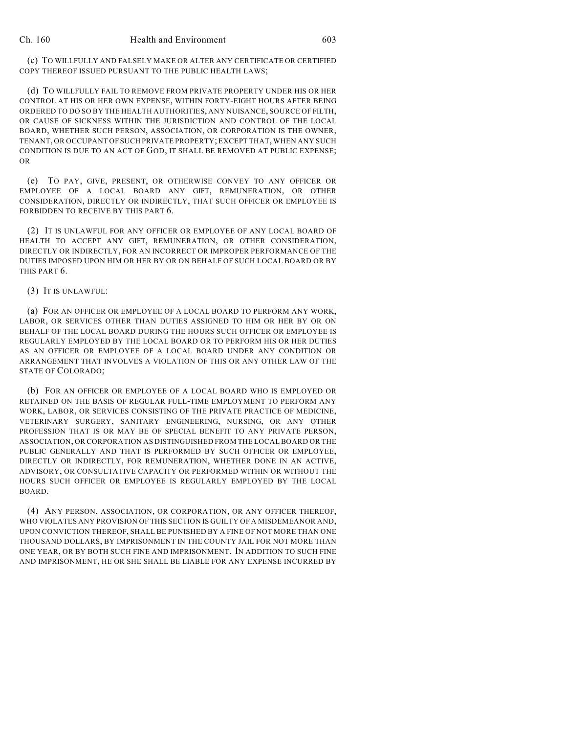(c) TO WILLFULLY AND FALSELY MAKE OR ALTER ANY CERTIFICATE OR CERTIFIED COPY THEREOF ISSUED PURSUANT TO THE PUBLIC HEALTH LAWS;

(d) TO WILLFULLY FAIL TO REMOVE FROM PRIVATE PROPERTY UNDER HIS OR HER CONTROL AT HIS OR HER OWN EXPENSE, WITHIN FORTY-EIGHT HOURS AFTER BEING ORDERED TO DO SO BY THE HEALTH AUTHORITIES, ANY NUISANCE, SOURCE OF FILTH, OR CAUSE OF SICKNESS WITHIN THE JURISDICTION AND CONTROL OF THE LOCAL BOARD, WHETHER SUCH PERSON, ASSOCIATION, OR CORPORATION IS THE OWNER, TENANT, OR OCCUPANT OF SUCH PRIVATE PROPERTY; EXCEPT THAT, WHEN ANY SUCH CONDITION IS DUE TO AN ACT OF GOD, IT SHALL BE REMOVED AT PUBLIC EXPENSE; OR

(e) TO PAY, GIVE, PRESENT, OR OTHERWISE CONVEY TO ANY OFFICER OR EMPLOYEE OF A LOCAL BOARD ANY GIFT, REMUNERATION, OR OTHER CONSIDERATION, DIRECTLY OR INDIRECTLY, THAT SUCH OFFICER OR EMPLOYEE IS FORBIDDEN TO RECEIVE BY THIS PART 6.

(2) IT IS UNLAWFUL FOR ANY OFFICER OR EMPLOYEE OF ANY LOCAL BOARD OF HEALTH TO ACCEPT ANY GIFT, REMUNERATION, OR OTHER CONSIDERATION, DIRECTLY OR INDIRECTLY, FOR AN INCORRECT OR IMPROPER PERFORMANCE OF THE DUTIES IMPOSED UPON HIM OR HER BY OR ON BEHALF OF SUCH LOCAL BOARD OR BY THIS PART 6.

## (3) IT IS UNLAWFUL:

(a) FOR AN OFFICER OR EMPLOYEE OF A LOCAL BOARD TO PERFORM ANY WORK, LABOR, OR SERVICES OTHER THAN DUTIES ASSIGNED TO HIM OR HER BY OR ON BEHALF OF THE LOCAL BOARD DURING THE HOURS SUCH OFFICER OR EMPLOYEE IS REGULARLY EMPLOYED BY THE LOCAL BOARD OR TO PERFORM HIS OR HER DUTIES AS AN OFFICER OR EMPLOYEE OF A LOCAL BOARD UNDER ANY CONDITION OR ARRANGEMENT THAT INVOLVES A VIOLATION OF THIS OR ANY OTHER LAW OF THE STATE OF COLORADO;

(b) FOR AN OFFICER OR EMPLOYEE OF A LOCAL BOARD WHO IS EMPLOYED OR RETAINED ON THE BASIS OF REGULAR FULL-TIME EMPLOYMENT TO PERFORM ANY WORK, LABOR, OR SERVICES CONSISTING OF THE PRIVATE PRACTICE OF MEDICINE, VETERINARY SURGERY, SANITARY ENGINEERING, NURSING, OR ANY OTHER PROFESSION THAT IS OR MAY BE OF SPECIAL BENEFIT TO ANY PRIVATE PERSON, ASSOCIATION, OR CORPORATION AS DISTINGUISHED FROM THE LOCAL BOARD OR THE PUBLIC GENERALLY AND THAT IS PERFORMED BY SUCH OFFICER OR EMPLOYEE, DIRECTLY OR INDIRECTLY, FOR REMUNERATION, WHETHER DONE IN AN ACTIVE, ADVISORY, OR CONSULTATIVE CAPACITY OR PERFORMED WITHIN OR WITHOUT THE HOURS SUCH OFFICER OR EMPLOYEE IS REGULARLY EMPLOYED BY THE LOCAL BOARD.

(4) ANY PERSON, ASSOCIATION, OR CORPORATION, OR ANY OFFICER THEREOF, WHO VIOLATES ANY PROVISION OF THIS SECTION IS GUILTY OF A MISDEMEANOR AND, UPON CONVICTION THEREOF, SHALL BE PUNISHED BY A FINE OF NOT MORE THAN ONE THOUSAND DOLLARS, BY IMPRISONMENT IN THE COUNTY JAIL FOR NOT MORE THAN ONE YEAR, OR BY BOTH SUCH FINE AND IMPRISONMENT. IN ADDITION TO SUCH FINE AND IMPRISONMENT, HE OR SHE SHALL BE LIABLE FOR ANY EXPENSE INCURRED BY